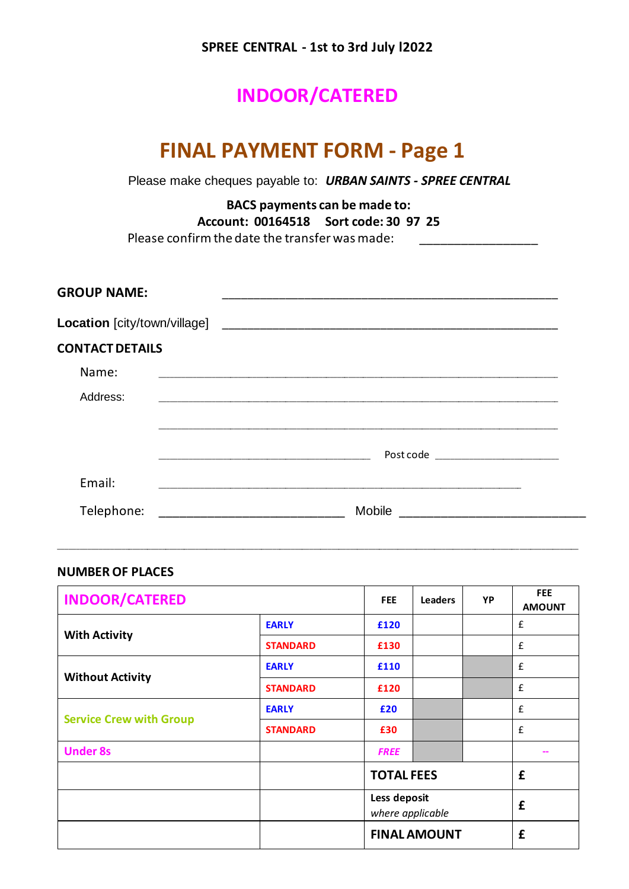### **SPREE CENTRAL - 1st to 3rd July l2022**

## **INDOOR/CATERED**

# **FINAL PAYMENT FORM - Page 1**

Please make cheques payable to: *URBAN SAINTS - SPREE CENTRAL*

**BACS payments can be made to: Account: 00164518 Sort code: 30 97 25** Please confirm the date the transfer was made:\_\_\_\_\_\_\_\_\_\_\_\_\_\_\_\_\_

| <b>GROUP NAME:</b>     |                                                                                                                  |  |  |  |  |
|------------------------|------------------------------------------------------------------------------------------------------------------|--|--|--|--|
|                        | Location [city/town/village]                                                                                     |  |  |  |  |
| <b>CONTACT DETAILS</b> |                                                                                                                  |  |  |  |  |
| Name:                  | and the control of the control of the control of the control of the control of the control of the control of the |  |  |  |  |
| Address:               |                                                                                                                  |  |  |  |  |
|                        |                                                                                                                  |  |  |  |  |
|                        |                                                                                                                  |  |  |  |  |
| Email:                 |                                                                                                                  |  |  |  |  |
| Telephone:             | Mobile                                                                                                           |  |  |  |  |

\_\_\_\_\_\_\_\_\_\_\_\_\_\_\_\_\_\_\_\_\_\_\_\_\_\_\_\_\_\_\_\_\_\_\_\_\_\_\_\_\_\_\_\_\_\_\_\_\_\_\_\_\_\_\_\_\_\_\_\_\_\_\_\_\_\_\_\_\_\_\_\_\_\_\_\_\_\_\_\_\_\_\_\_\_\_\_\_\_\_\_\_\_\_\_\_\_\_\_\_\_\_\_\_\_\_\_\_\_\_\_\_\_\_\_\_\_\_\_\_\_\_\_\_\_\_\_\_\_\_\_\_\_\_\_\_\_\_\_\_\_

#### **NUMBER OF PLACES**

| <b>INDOOR/CATERED</b>          |                 | <b>FEE</b>  | <b>Leaders</b>                   | YP | <b>FEE</b><br><b>AMOUNT</b> |
|--------------------------------|-----------------|-------------|----------------------------------|----|-----------------------------|
|                                | <b>EARLY</b>    | £120        |                                  |    | £                           |
| <b>With Activity</b>           | <b>STANDARD</b> | £130        |                                  |    | £                           |
|                                | <b>EARLY</b>    | £110        |                                  |    | £                           |
| <b>Without Activity</b>        | <b>STANDARD</b> | £120        |                                  |    | £                           |
|                                | <b>EARLY</b>    | £20         |                                  |    | £                           |
| <b>Service Crew with Group</b> | <b>STANDARD</b> | £30         |                                  |    | £                           |
| <b>Under 8s</b>                |                 | <b>FREE</b> |                                  |    |                             |
|                                |                 |             | <b>TOTAL FEES</b>                |    | £                           |
|                                |                 |             | Less deposit<br>where applicable |    | £                           |
|                                |                 |             | <b>FINAL AMOUNT</b>              |    | £                           |